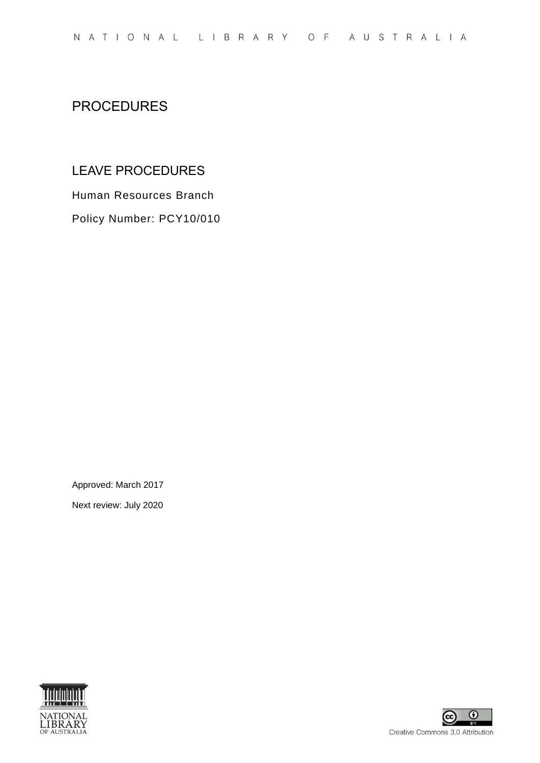# PROCEDURES

## LEAVE PROCEDURES

Human Resources Branch

Policy Number: PCY10/010

Approved: March 2017

Next review: July 2020



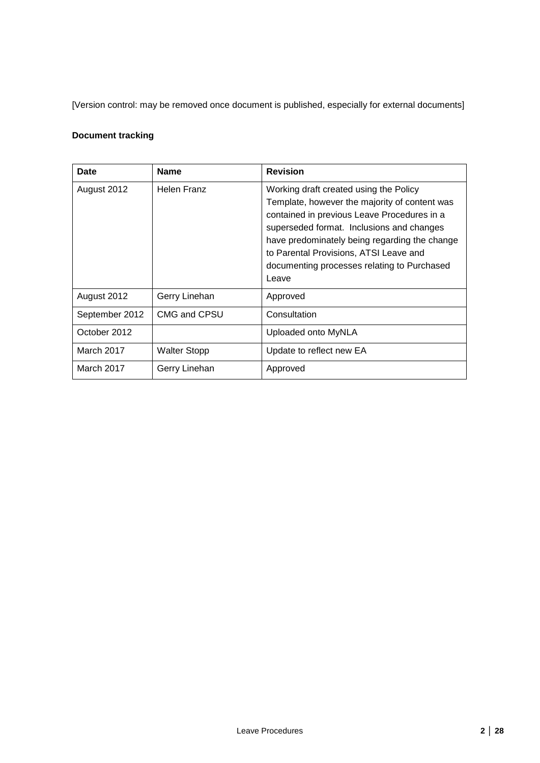[Version control: may be removed once document is published, especially for external documents]

## **Document tracking**

| Date           | <b>Name</b>         | <b>Revision</b>                                                                                                                                                                                                                                                                                                                        |
|----------------|---------------------|----------------------------------------------------------------------------------------------------------------------------------------------------------------------------------------------------------------------------------------------------------------------------------------------------------------------------------------|
| August 2012    | Helen Franz         | Working draft created using the Policy<br>Template, however the majority of content was<br>contained in previous Leave Procedures in a<br>superseded format. Inclusions and changes<br>have predominately being regarding the change<br>to Parental Provisions, ATSI Leave and<br>documenting processes relating to Purchased<br>Leave |
| August 2012    | Gerry Linehan       | Approved                                                                                                                                                                                                                                                                                                                               |
| September 2012 | CMG and CPSU        | Consultation                                                                                                                                                                                                                                                                                                                           |
| October 2012   |                     | Uploaded onto MyNLA                                                                                                                                                                                                                                                                                                                    |
| March 2017     | <b>Walter Stopp</b> | Update to reflect new EA                                                                                                                                                                                                                                                                                                               |
| March 2017     | Gerry Linehan       | Approved                                                                                                                                                                                                                                                                                                                               |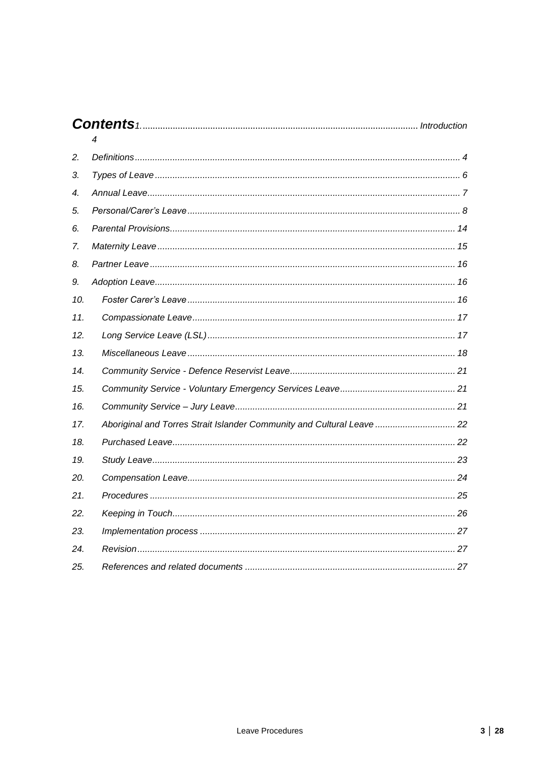|                    | 4                                                                      |  |
|--------------------|------------------------------------------------------------------------|--|
| 2.                 |                                                                        |  |
| 3.                 |                                                                        |  |
| $\boldsymbol{4}$ . |                                                                        |  |
| 5.                 |                                                                        |  |
| 6.                 |                                                                        |  |
| 7.                 |                                                                        |  |
| 8.                 |                                                                        |  |
| 9.                 |                                                                        |  |
| 10.                |                                                                        |  |
| 11.                |                                                                        |  |
| 12.                |                                                                        |  |
| 13.                |                                                                        |  |
| 14.                |                                                                        |  |
| 15.                |                                                                        |  |
| 16.                |                                                                        |  |
| 17.                | Aboriginal and Torres Strait Islander Community and Cultural Leave  22 |  |
| 18.                |                                                                        |  |
| 19.                |                                                                        |  |
| 20.                |                                                                        |  |
| 21.                |                                                                        |  |
| 22.                |                                                                        |  |
| 23.                |                                                                        |  |
| 24.                |                                                                        |  |
| 25.                |                                                                        |  |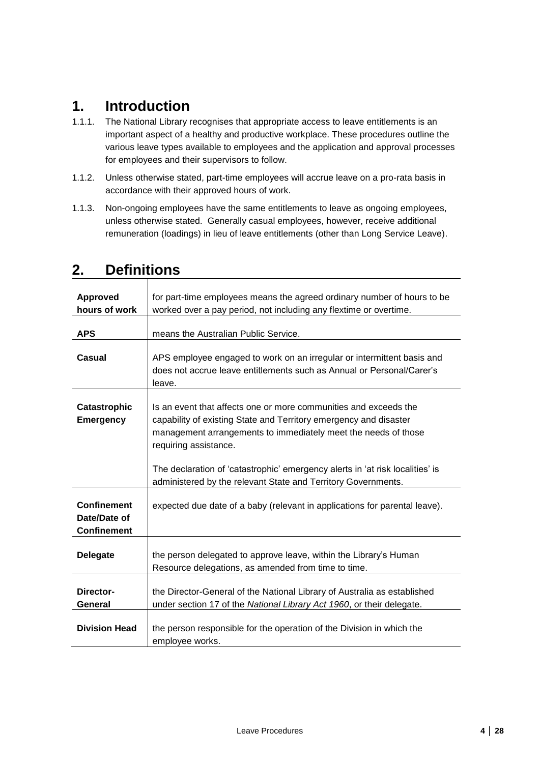# <span id="page-3-0"></span>**1. Introduction**

- 1.1.1. The National Library recognises that appropriate access to leave entitlements is an important aspect of a healthy and productive workplace. These procedures outline the various leave types available to employees and the application and approval processes for employees and their supervisors to follow.
- 1.1.2. Unless otherwise stated, part-time employees will accrue leave on a pro-rata basis in accordance with their approved hours of work.
- 1.1.3. Non-ongoing employees have the same entitlements to leave as ongoing employees, unless otherwise stated. Generally casual employees, however, receive additional remuneration (loadings) in lieu of leave entitlements (other than Long Service Leave).

| <b>Approved</b>                                          | for part-time employees means the agreed ordinary number of hours to be                                                                                                                                                          |  |  |
|----------------------------------------------------------|----------------------------------------------------------------------------------------------------------------------------------------------------------------------------------------------------------------------------------|--|--|
| hours of work                                            | worked over a pay period, not including any flextime or overtime.                                                                                                                                                                |  |  |
|                                                          |                                                                                                                                                                                                                                  |  |  |
| <b>APS</b>                                               | means the Australian Public Service.                                                                                                                                                                                             |  |  |
| <b>Casual</b>                                            | APS employee engaged to work on an irregular or intermittent basis and<br>does not accrue leave entitlements such as Annual or Personal/Carer's<br>leave.                                                                        |  |  |
| <b>Catastrophic</b><br><b>Emergency</b>                  | Is an event that affects one or more communities and exceeds the<br>capability of existing State and Territory emergency and disaster<br>management arrangements to immediately meet the needs of those<br>requiring assistance. |  |  |
|                                                          | The declaration of 'catastrophic' emergency alerts in 'at risk localities' is<br>administered by the relevant State and Territory Governments.                                                                                   |  |  |
| <b>Confinement</b><br>Date/Date of<br><b>Confinement</b> | expected due date of a baby (relevant in applications for parental leave).                                                                                                                                                       |  |  |
| <b>Delegate</b>                                          | the person delegated to approve leave, within the Library's Human<br>Resource delegations, as amended from time to time.                                                                                                         |  |  |
| Director-<br>General                                     | the Director-General of the National Library of Australia as established<br>under section 17 of the National Library Act 1960, or their delegate.                                                                                |  |  |
| <b>Division Head</b>                                     | the person responsible for the operation of the Division in which the<br>employee works.                                                                                                                                         |  |  |

## <span id="page-3-1"></span>**2. Definitions**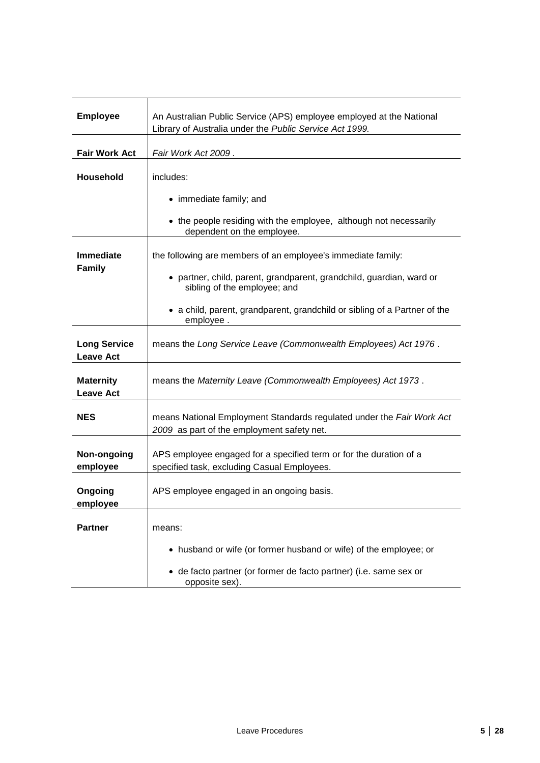| <b>Employee</b>                         | An Australian Public Service (APS) employee employed at the National<br>Library of Australia under the Public Service Act 1999. |  |  |
|-----------------------------------------|---------------------------------------------------------------------------------------------------------------------------------|--|--|
| <b>Fair Work Act</b>                    | Fair Work Act 2009.                                                                                                             |  |  |
| Household                               | includes:                                                                                                                       |  |  |
|                                         | • immediate family; and                                                                                                         |  |  |
|                                         | • the people residing with the employee, although not necessarily<br>dependent on the employee.                                 |  |  |
| <b>Immediate</b>                        | the following are members of an employee's immediate family:                                                                    |  |  |
| <b>Family</b>                           | • partner, child, parent, grandparent, grandchild, guardian, ward or<br>sibling of the employee; and                            |  |  |
|                                         | • a child, parent, grandparent, grandchild or sibling of a Partner of the<br>employee.                                          |  |  |
| <b>Long Service</b><br><b>Leave Act</b> | means the Long Service Leave (Commonwealth Employees) Act 1976.                                                                 |  |  |
| <b>Maternity</b><br><b>Leave Act</b>    | means the Maternity Leave (Commonwealth Employees) Act 1973.                                                                    |  |  |
| <b>NES</b>                              | means National Employment Standards regulated under the Fair Work Act<br>2009 as part of the employment safety net.             |  |  |
| Non-ongoing<br>employee                 | APS employee engaged for a specified term or for the duration of a<br>specified task, excluding Casual Employees.               |  |  |
| Ongoing<br>employee                     | APS employee engaged in an ongoing basis.                                                                                       |  |  |
| <b>Partner</b>                          | means:                                                                                                                          |  |  |
|                                         | • husband or wife (or former husband or wife) of the employee; or                                                               |  |  |
|                                         | · de facto partner (or former de facto partner) (i.e. same sex or<br>opposite sex).                                             |  |  |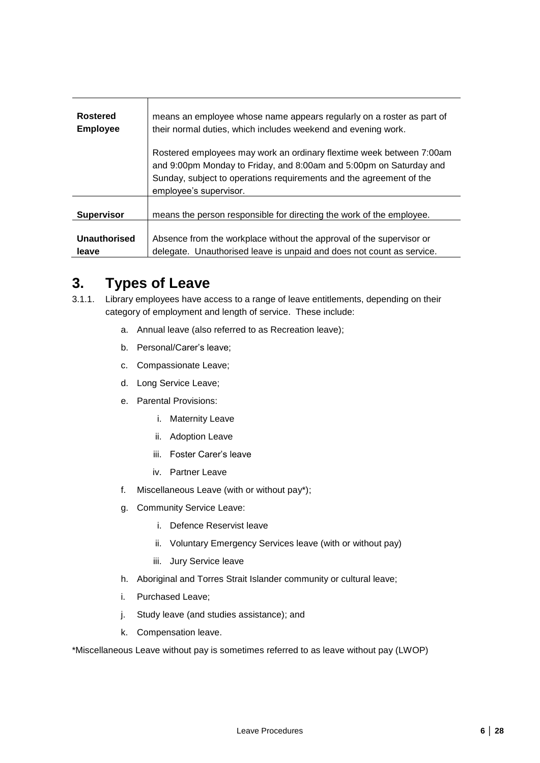| Rostered            | means an employee whose name appears regularly on a roster as part of                                                                                                                                                                       |
|---------------------|---------------------------------------------------------------------------------------------------------------------------------------------------------------------------------------------------------------------------------------------|
| <b>Employee</b>     | their normal duties, which includes weekend and evening work.                                                                                                                                                                               |
|                     | Rostered employees may work an ordinary flextime week between 7:00am<br>and 9:00pm Monday to Friday, and 8:00am and 5:00pm on Saturday and<br>Sunday, subject to operations requirements and the agreement of the<br>employee's supervisor. |
| <b>Supervisor</b>   | means the person responsible for directing the work of the employee.                                                                                                                                                                        |
| <b>Unauthorised</b> | Absence from the workplace without the approval of the supervisor or                                                                                                                                                                        |
| leave               | delegate. Unauthorised leave is unpaid and does not count as service.                                                                                                                                                                       |

# <span id="page-5-0"></span>**3. Types of Leave**

- 3.1.1. Library employees have access to a range of leave entitlements, depending on their category of employment and length of service. These include:
	- a. Annual leave (also referred to as Recreation leave);
	- b. Personal/Carer's leave;
	- c. Compassionate Leave;
	- d. Long Service Leave;
	- e. Parental Provisions:
		- i. Maternity Leave
		- ii. Adoption Leave
		- iii. Foster Carer's leave
		- iv. Partner Leave
	- f. Miscellaneous Leave (with or without pay\*);
	- g. Community Service Leave:
		- i. Defence Reservist leave
		- ii. Voluntary Emergency Services leave (with or without pay)
		- iii. Jury Service leave
	- h. Aboriginal and Torres Strait Islander community or cultural leave;
	- i. Purchased Leave;
	- j. Study leave (and studies assistance); and
	- k. Compensation leave.

\*Miscellaneous Leave without pay is sometimes referred to as leave without pay (LWOP)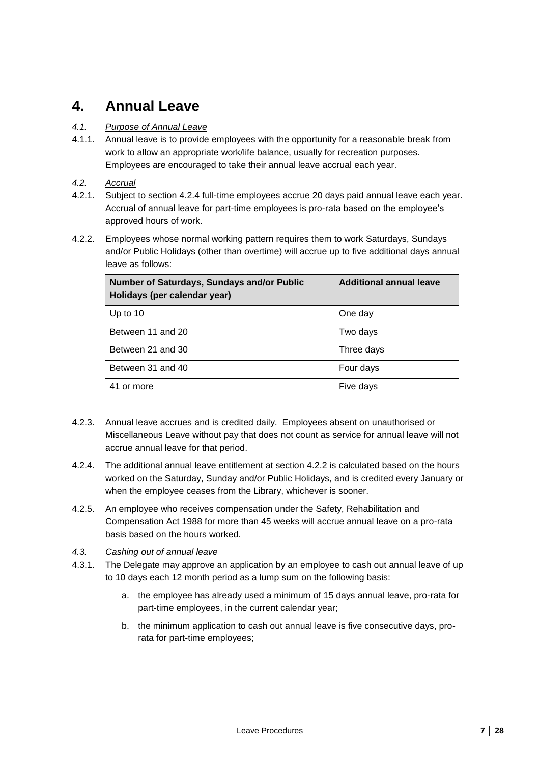# <span id="page-6-0"></span>**4. Annual Leave**

### *4.1. Purpose of Annual Leave*

- 4.1.1. Annual leave is to provide employees with the opportunity for a reasonable break from work to allow an appropriate work/life balance, usually for recreation purposes. Employees are encouraged to take their annual leave accrual each year.
- *4.2. Accrual*
- 4.2.1. Subject to section [4.2.4](#page-6-1) full-time employees accrue 20 days paid annual leave each year. Accrual of annual leave for part-time employees is pro-rata based on the employee's approved hours of work.
- <span id="page-6-2"></span>4.2.2. Employees whose normal working pattern requires them to work Saturdays, Sundays and/or Public Holidays (other than overtime) will accrue up to five additional days annual leave as follows:

| Number of Saturdays, Sundays and/or Public<br>Holidays (per calendar year) | <b>Additional annual leave</b> |
|----------------------------------------------------------------------------|--------------------------------|
| Up to $10$                                                                 | One day                        |
| Between 11 and 20                                                          | Two days                       |
| Between 21 and 30                                                          | Three days                     |
| Between 31 and 40                                                          | Four days                      |
| 41 or more                                                                 | Five days                      |

- 4.2.3. Annual leave accrues and is credited daily. Employees absent on unauthorised or Miscellaneous Leave without pay that does not count as service for annual leave will not accrue annual leave for that period.
- <span id="page-6-1"></span>4.2.4. The additional annual leave entitlement at section [4.2.2](#page-6-2) is calculated based on the hours worked on the Saturday, Sunday and/or Public Holidays, and is credited every January or when the employee ceases from the Library, whichever is sooner.
- 4.2.5. An employee who receives compensation under the Safety, Rehabilitation and Compensation Act 1988 for more than 45 weeks will accrue annual leave on a pro-rata basis based on the hours worked.

### *4.3. Cashing out of annual leave*

- 4.3.1. The Delegate may approve an application by an employee to cash out annual leave of up to 10 days each 12 month period as a lump sum on the following basis:
	- a. the employee has already used a minimum of 15 days annual leave, pro-rata for part-time employees, in the current calendar year;
	- b. the minimum application to cash out annual leave is five consecutive days, prorata for part-time employees;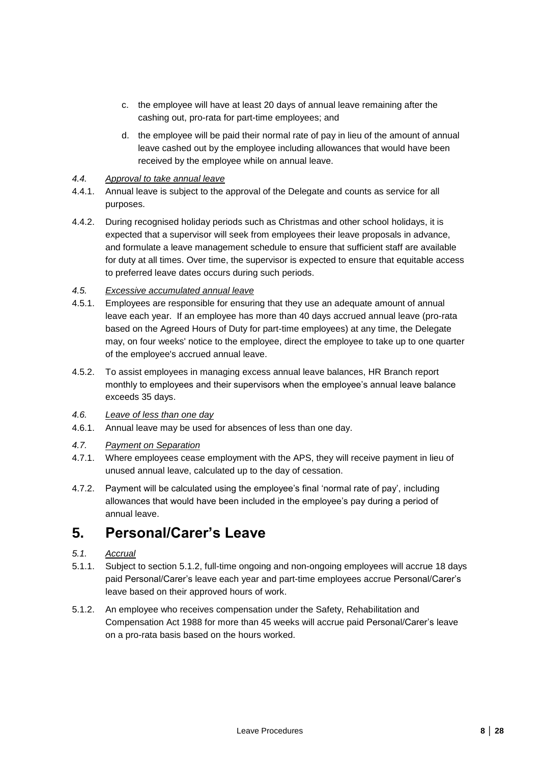- c. the employee will have at least 20 days of annual leave remaining after the cashing out, pro-rata for part-time employees; and
- d. the employee will be paid their normal rate of pay in lieu of the amount of annual leave cashed out by the employee including allowances that would have been received by the employee while on annual leave.

#### *4.4. Approval to take annual leave*

- 4.4.1. Annual leave is subject to the approval of the Delegate and counts as service for all purposes.
- 4.4.2. During recognised holiday periods such as Christmas and other school holidays, it is expected that a supervisor will seek from employees their leave proposals in advance, and formulate a leave management schedule to ensure that sufficient staff are available for duty at all times. Over time, the supervisor is expected to ensure that equitable access to preferred leave dates occurs during such periods.

### *4.5. Excessive accumulated annual leave*

- <span id="page-7-2"></span>4.5.1. Employees are responsible for ensuring that they use an adequate amount of annual leave each year. If an employee has more than 40 days accrued annual leave (pro-rata based on the Agreed Hours of Duty for part-time employees) at any time, the Delegate may, on four weeks' notice to the employee, direct the employee to take up to one quarter of the employee's accrued annual leave.
- 4.5.2. To assist employees in managing excess annual leave balances, HR Branch report monthly to employees and their supervisors when the employee's annual leave balance exceeds 35 days.

#### *4.6. Leave of less than one day*

4.6.1. Annual leave may be used for absences of less than one day.

### *4.7. Payment on Separation*

- 4.7.1. Where employees cease employment with the APS, they will receive payment in lieu of unused annual leave, calculated up to the day of cessation.
- 4.7.2. Payment will be calculated using the employee's final 'normal rate of pay', including allowances that would have been included in the employee's pay during a period of annual leave.

## <span id="page-7-0"></span>**5. Personal/Carer's Leave**

### *5.1. Accrual*

- 5.1.1. Subject to section [5.1.2,](#page-7-1) full-time ongoing and non-ongoing employees will accrue 18 days paid Personal/Carer's leave each year and part-time employees accrue Personal/Carer's leave based on their approved hours of work.
- <span id="page-7-1"></span>5.1.2. An employee who receives compensation under the Safety, Rehabilitation and Compensation Act 1988 for more than 45 weeks will accrue paid Personal/Carer's leave on a pro-rata basis based on the hours worked.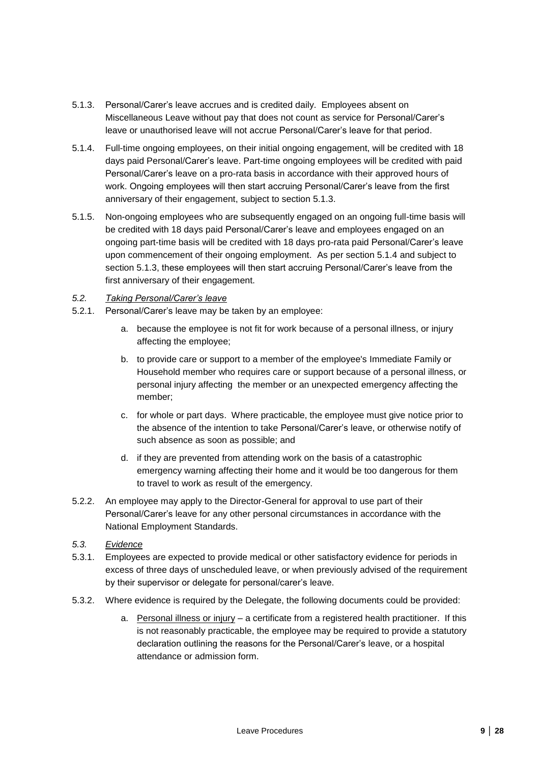- 5.1.3. Personal/Carer's leave accrues and is credited daily. Employees absent on Miscellaneous Leave without pay that does not count as service for Personal/Carer's leave or unauthorised leave will not accrue Personal/Carer's leave for that period.
- 5.1.4. Full-time ongoing employees, on their initial ongoing engagement, will be credited with 18 days paid Personal/Carer's leave. Part-time ongoing employees will be credited with paid Personal/Carer's leave on a pro-rata basis in accordance with their approved hours of work. Ongoing employees will then start accruing Personal/Carer's leave from the first anniversary of their engagement, subject to section 5.1.3.
- 5.1.5. Non-ongoing employees who are subsequently engaged on an ongoing full-time basis will be credited with 18 days paid Personal/Carer's leave and employees engaged on an ongoing part-time basis will be credited with 18 days pro-rata paid Personal/Carer's leave upon commencement of their ongoing employment. As per section 5.1.4 and subject to section 5.1.3, these employees will then start accruing Personal/Carer's leave from the first anniversary of their engagement.

### *5.2. Taking Personal/Carer's leave*

- 5.2.1. Personal/Carer's leave may be taken by an employee:
	- a. because the employee is not fit for work because of a personal illness, or injury affecting the employee;
	- b. to provide care or support to a member of the employee's Immediate Family or Household member who requires care or support because of a personal illness, or personal injury affecting the member or an unexpected emergency affecting the member;
	- c. for whole or part days. Where practicable, the employee must give notice prior to the absence of the intention to take Personal/Carer's leave, or otherwise notify of such absence as soon as possible; and
	- d. if they are prevented from attending work on the basis of a catastrophic emergency warning affecting their home and it would be too dangerous for them to travel to work as result of the emergency.
- 5.2.2. An employee may apply to the Director-General for approval to use part of their Personal/Carer's leave for any other personal circumstances in accordance with the National Employment Standards.
- *5.3. Evidence*
- 5.3.1. Employees are expected to provide medical or other satisfactory evidence for periods in excess of three days of unscheduled leave, or when previously advised of the requirement by their supervisor or delegate for personal/carer's leave.
- 5.3.2. Where evidence is required by the Delegate, the following documents could be provided:
	- a. Personal illness or injury  $-$  a certificate from a registered health practitioner. If this is not reasonably practicable, the employee may be required to provide a statutory declaration outlining the reasons for the Personal/Carer's leave, or a hospital attendance or admission form.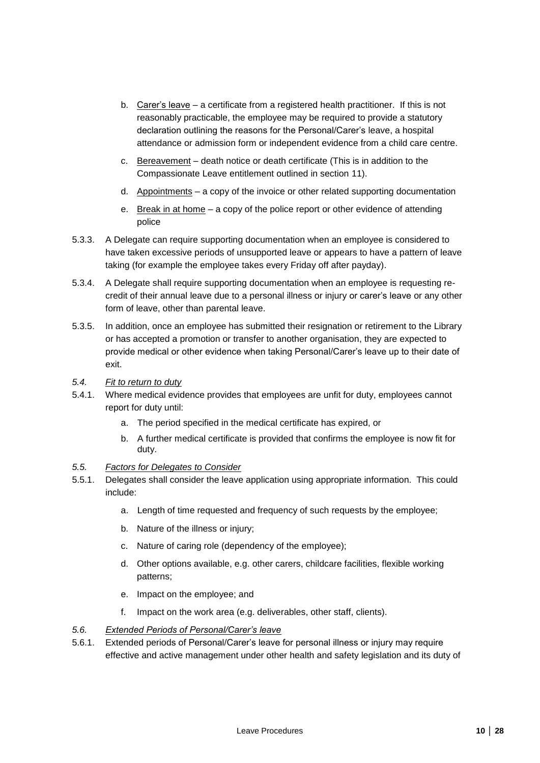- b. Carer's leave a certificate from a registered health practitioner. If this is not reasonably practicable, the employee may be required to provide a statutory declaration outlining the reasons for the Personal/Carer's leave, a hospital attendance or admission form or independent evidence from a child care centre.
- c. Bereavement death notice or death certificate (This is in addition to the Compassionate Leave entitlement outlined in section [11\)](#page-16-0).
- d. Appointments a copy of the invoice or other related supporting documentation
- e. Break in at home a copy of the police report or other evidence of attending police
- 5.3.3. A Delegate can require supporting documentation when an employee is considered to have taken excessive periods of unsupported leave or appears to have a pattern of leave taking (for example the employee takes every Friday off after payday).
- 5.3.4. A Delegate shall require supporting documentation when an employee is requesting recredit of their annual leave due to a personal illness or injury or carer's leave or any other form of leave, other than parental leave.
- 5.3.5. In addition, once an employee has submitted their resignation or retirement to the Library or has accepted a promotion or transfer to another organisation, they are expected to provide medical or other evidence when taking Personal/Carer's leave up to their date of exit.
- *5.4. Fit to return to duty*
- 5.4.1. Where medical evidence provides that employees are unfit for duty, employees cannot report for duty until:
	- a. The period specified in the medical certificate has expired, or
	- b. A further medical certificate is provided that confirms the employee is now fit for duty.
- *5.5. Factors for Delegates to Consider*
- 5.5.1. Delegates shall consider the leave application using appropriate information. This could include:
	- a. Length of time requested and frequency of such requests by the employee;
	- b. Nature of the illness or injury;
	- c. Nature of caring role (dependency of the employee);
	- d. Other options available, e.g. other carers, childcare facilities, flexible working patterns;
	- e. Impact on the employee; and
	- f. Impact on the work area (e.g. deliverables, other staff, clients).
- *5.6. Extended Periods of Personal/Carer's leave*
- 5.6.1. Extended periods of Personal/Carer's leave for personal illness or injury may require effective and active management under other health and safety legislation and its duty of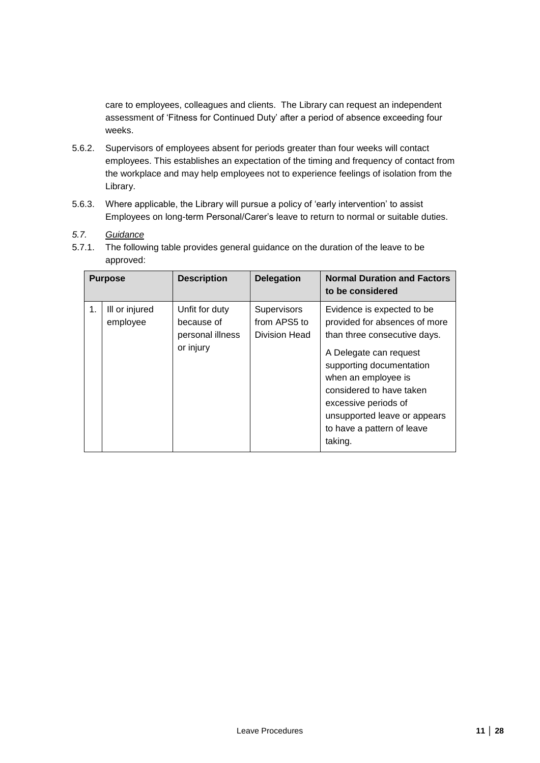care to employees, colleagues and clients. The Library can request an independent assessment of 'Fitness for Continued Duty' after a period of absence exceeding four weeks.

- 5.6.2. Supervisors of employees absent for periods greater than four weeks will contact employees. This establishes an expectation of the timing and frequency of contact from the workplace and may help employees not to experience feelings of isolation from the Library.
- 5.6.3. Where applicable, the Library will pursue a policy of 'early intervention' to assist Employees on long-term Personal/Carer's leave to return to normal or suitable duties.

### *5.7. Guidance*

5.7.1. The following table provides general guidance on the duration of the leave to be approved:

|    | <b>Purpose</b>             | <b>Description</b>                                            | <b>Delegation</b>                            | <b>Normal Duration and Factors</b><br>to be considered                                                                                                                                                                                                                                                |
|----|----------------------------|---------------------------------------------------------------|----------------------------------------------|-------------------------------------------------------------------------------------------------------------------------------------------------------------------------------------------------------------------------------------------------------------------------------------------------------|
| 1. | III or injured<br>employee | Unfit for duty<br>because of<br>personal illness<br>or injury | Supervisors<br>from APS5 to<br>Division Head | Evidence is expected to be<br>provided for absences of more<br>than three consecutive days.<br>A Delegate can request<br>supporting documentation<br>when an employee is<br>considered to have taken<br>excessive periods of<br>unsupported leave or appears<br>to have a pattern of leave<br>taking. |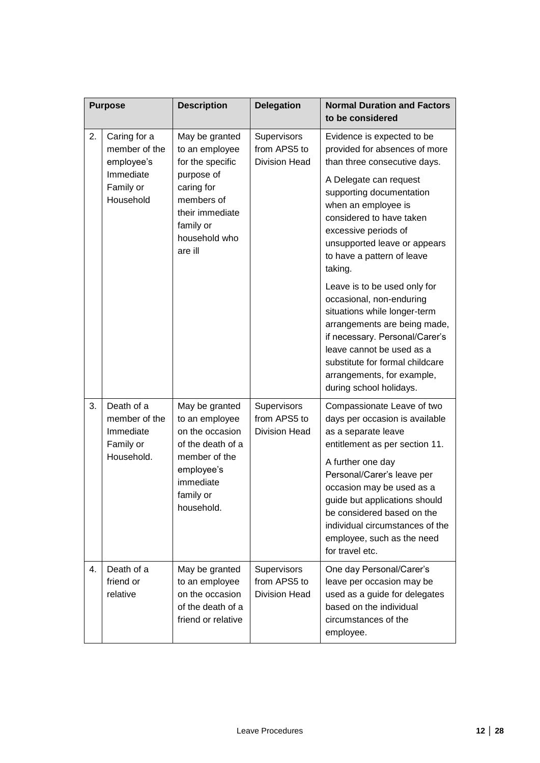|    | <b>Purpose</b>                                                      | <b>Description</b>                                                                                                                              | <b>Delegation</b>                                   | <b>Normal Duration and Factors</b><br>to be considered                                                                                                                                                                                                                                                                                                   |
|----|---------------------------------------------------------------------|-------------------------------------------------------------------------------------------------------------------------------------------------|-----------------------------------------------------|----------------------------------------------------------------------------------------------------------------------------------------------------------------------------------------------------------------------------------------------------------------------------------------------------------------------------------------------------------|
| 2. | Caring for a<br>member of the<br>employee's                         | May be granted<br>to an employee<br>for the specific                                                                                            | Supervisors<br>from APS5 to<br><b>Division Head</b> | Evidence is expected to be<br>provided for absences of more<br>than three consecutive days.                                                                                                                                                                                                                                                              |
|    | Immediate<br>Family or<br>Household                                 | purpose of<br>caring for<br>members of<br>their immediate<br>family or<br>household who<br>are ill                                              |                                                     | A Delegate can request<br>supporting documentation<br>when an employee is<br>considered to have taken<br>excessive periods of<br>unsupported leave or appears<br>to have a pattern of leave<br>taking.                                                                                                                                                   |
|    |                                                                     |                                                                                                                                                 |                                                     | Leave is to be used only for<br>occasional, non-enduring<br>situations while longer-term<br>arrangements are being made,<br>if necessary. Personal/Carer's<br>leave cannot be used as a<br>substitute for formal childcare<br>arrangements, for example,<br>during school holidays.                                                                      |
| 3. | Death of a<br>member of the<br>Immediate<br>Family or<br>Household. | May be granted<br>to an employee<br>on the occasion<br>of the death of a<br>member of the<br>employee's<br>immediate<br>family or<br>household. | Supervisors<br>from APS5 to<br><b>Division Head</b> | Compassionate Leave of two<br>days per occasion is available<br>as a separate leave<br>entitlement as per section 11.<br>A further one day<br>Personal/Carer's leave per<br>occasion may be used as a<br>guide but applications should<br>be considered based on the<br>individual circumstances of the<br>employee, such as the need<br>for travel etc. |
| 4. | Death of a<br>friend or<br>relative                                 | May be granted<br>to an employee<br>on the occasion<br>of the death of a<br>friend or relative                                                  | Supervisors<br>from APS5 to<br><b>Division Head</b> | One day Personal/Carer's<br>leave per occasion may be<br>used as a guide for delegates<br>based on the individual<br>circumstances of the<br>employee.                                                                                                                                                                                                   |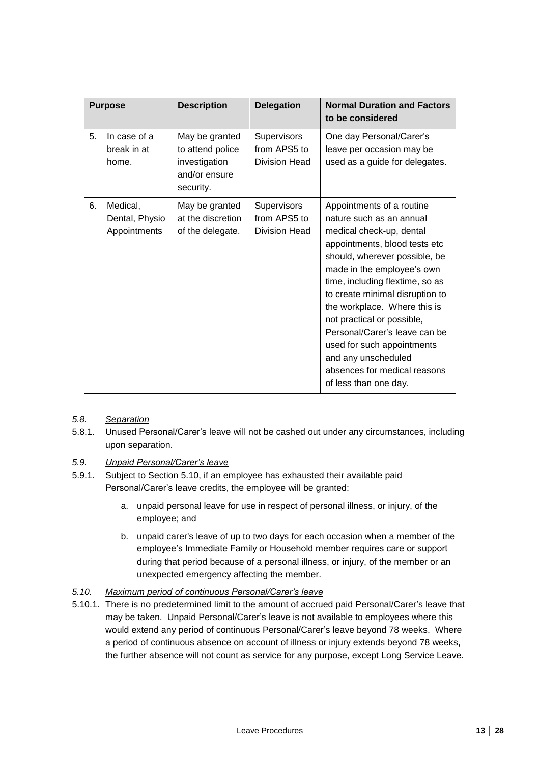|    | <b>Purpose</b>                             | <b>Description</b>                                                                | <b>Delegation</b>                            | <b>Normal Duration and Factors</b><br>to be considered                                                                                                                                                                                                                                                                                                                                                                                                               |
|----|--------------------------------------------|-----------------------------------------------------------------------------------|----------------------------------------------|----------------------------------------------------------------------------------------------------------------------------------------------------------------------------------------------------------------------------------------------------------------------------------------------------------------------------------------------------------------------------------------------------------------------------------------------------------------------|
| 5. | In case of a<br>break in at<br>home.       | May be granted<br>to attend police<br>investigation<br>and/or ensure<br>security. | Supervisors<br>from APS5 to<br>Division Head | One day Personal/Carer's<br>leave per occasion may be<br>used as a guide for delegates.                                                                                                                                                                                                                                                                                                                                                                              |
| 6. | Medical,<br>Dental, Physio<br>Appointments | May be granted<br>at the discretion<br>of the delegate.                           | Supervisors<br>from APS5 to<br>Division Head | Appointments of a routine<br>nature such as an annual<br>medical check-up, dental<br>appointments, blood tests etc<br>should, wherever possible, be<br>made in the employee's own<br>time, including flextime, so as<br>to create minimal disruption to<br>the workplace. Where this is<br>not practical or possible,<br>Personal/Carer's leave can be<br>used for such appointments<br>and any unscheduled<br>absences for medical reasons<br>of less than one day. |

#### *5.8. Separation*

5.8.1. Unused Personal/Carer's leave will not be cashed out under any circumstances, including upon separation.

#### *5.9. Unpaid Personal/Carer's leave*

- 5.9.1. Subject to Section [5.10,](#page-12-0) if an employee has exhausted their available paid Personal/Carer's leave credits, the employee will be granted:
	- a. unpaid personal leave for use in respect of personal illness, or injury, of the employee; and
	- b. unpaid carer's leave of up to two days for each occasion when a member of the employee's Immediate Family or Household member requires care or support during that period because of a personal illness, or injury, of the member or an unexpected emergency affecting the member.

#### <span id="page-12-0"></span>*5.10. Maximum period of continuous Personal/Carer's leave*

5.10.1. There is no predetermined limit to the amount of accrued paid Personal/Carer's leave that may be taken. Unpaid Personal/Carer's leave is not available to employees where this would extend any period of continuous Personal/Carer's leave beyond 78 weeks. Where a period of continuous absence on account of illness or injury extends beyond 78 weeks, the further absence will not count as service for any purpose, except Long Service Leave.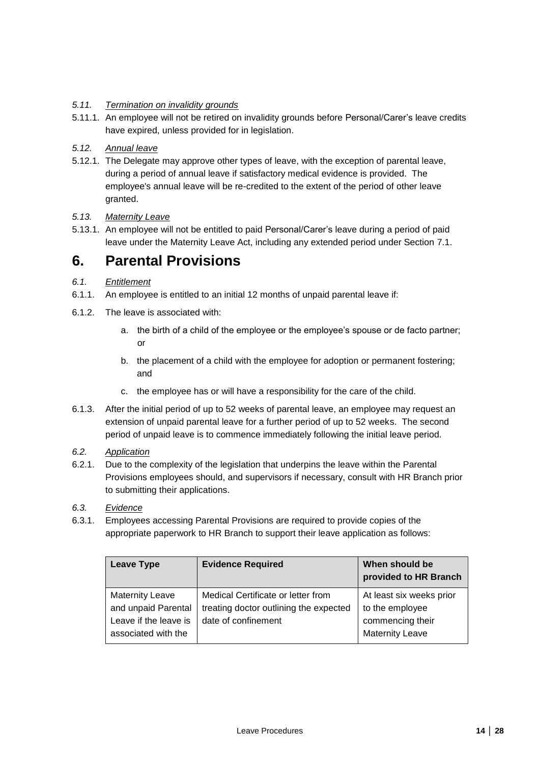### *5.11. Termination on invalidity grounds*

- 5.11.1. An employee will not be retired on invalidity grounds before Personal/Carer's leave credits have expired, unless provided for in legislation.
- *5.12. Annual leave*
- 5.12.1. The Delegate may approve other types of leave, with the exception of parental leave, during a period of annual leave if satisfactory medical evidence is provided. The employee's annual leave will be re-credited to the extent of the period of other leave granted.
- *5.13. Maternity Leave*
- 5.13.1. An employee will not be entitled to paid Personal/Carer's leave during a period of paid leave under the Maternity Leave Act, including any extended period under Section [7.1.](#page-14-1)

## <span id="page-13-0"></span>**6. Parental Provisions**

- <span id="page-13-1"></span>*6.1. Entitlement*
- 6.1.1. An employee is entitled to an initial 12 months of unpaid parental leave if:
- 6.1.2. The leave is associated with:
	- a. the birth of a child of the employee or the employee's spouse or de facto partner; or
	- b. the placement of a child with the employee for adoption or permanent fostering; and
	- c. the employee has or will have a responsibility for the care of the child.
- 6.1.3. After the initial period of up to 52 weeks of parental leave, an employee may request an extension of unpaid parental leave for a further period of up to 52 weeks. The second period of unpaid leave is to commence immediately following the initial leave period.
- *6.2. Application*
- 6.2.1. Due to the complexity of the legislation that underpins the leave within the Parental Provisions employees should, and supervisors if necessary, consult with HR Branch prior to submitting their applications.
- *6.3. Evidence*
- 6.3.1. Employees accessing Parental Provisions are required to provide copies of the appropriate paperwork to HR Branch to support their leave application as follows:

| <b>Leave Type</b>                                                                             | <b>Evidence Required</b>                                                                            | When should be<br>provided to HR Branch                                                   |
|-----------------------------------------------------------------------------------------------|-----------------------------------------------------------------------------------------------------|-------------------------------------------------------------------------------------------|
| <b>Maternity Leave</b><br>and unpaid Parental<br>Leave if the leave is<br>associated with the | Medical Certificate or letter from<br>treating doctor outlining the expected<br>date of confinement | At least six weeks prior<br>to the employee<br>commencing their<br><b>Maternity Leave</b> |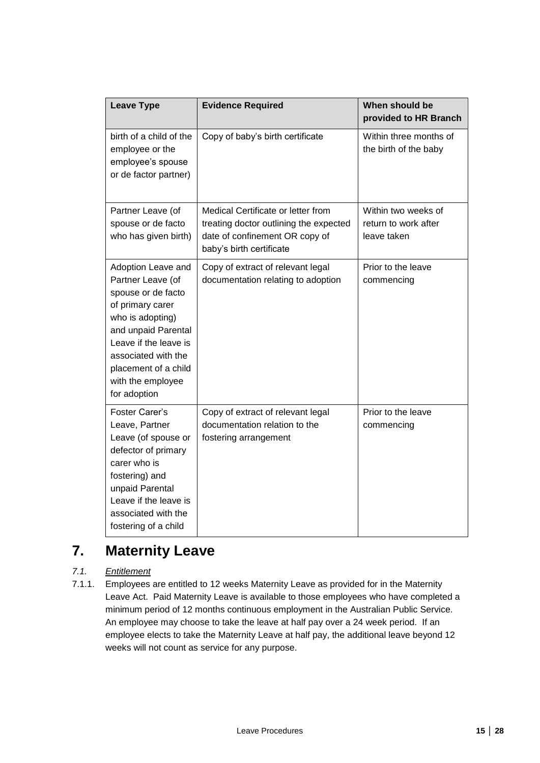| <b>Leave Type</b>                                                                                                                                                                                                                         | <b>Evidence Required</b>                                                                                                                   | When should be<br>provided to HR Branch                    |
|-------------------------------------------------------------------------------------------------------------------------------------------------------------------------------------------------------------------------------------------|--------------------------------------------------------------------------------------------------------------------------------------------|------------------------------------------------------------|
| birth of a child of the<br>employee or the<br>employee's spouse<br>or de factor partner)                                                                                                                                                  | Copy of baby's birth certificate                                                                                                           | Within three months of<br>the birth of the baby            |
| Partner Leave (of<br>spouse or de facto<br>who has given birth)                                                                                                                                                                           | Medical Certificate or letter from<br>treating doctor outlining the expected<br>date of confinement OR copy of<br>baby's birth certificate | Within two weeks of<br>return to work after<br>leave taken |
| Adoption Leave and<br>Partner Leave (of<br>spouse or de facto<br>of primary carer<br>who is adopting)<br>and unpaid Parental<br>Leave if the leave is<br>associated with the<br>placement of a child<br>with the employee<br>for adoption | Copy of extract of relevant legal<br>documentation relating to adoption                                                                    | Prior to the leave<br>commencing                           |
| Foster Carer's<br>Leave, Partner<br>Leave (of spouse or<br>defector of primary<br>carer who is<br>fostering) and<br>unpaid Parental<br>Leave if the leave is<br>associated with the<br>fostering of a child                               | Copy of extract of relevant legal<br>documentation relation to the<br>fostering arrangement                                                | Prior to the leave<br>commencing                           |

# <span id="page-14-0"></span>**7. Maternity Leave**

### <span id="page-14-1"></span>*7.1. Entitlement*

<span id="page-14-2"></span>7.1.1. Employees are entitled to 12 weeks Maternity Leave as provided for in the Maternity Leave Act. Paid Maternity Leave is available to those employees who have completed a minimum period of 12 months continuous employment in the Australian Public Service. An employee may choose to take the leave at half pay over a 24 week period. If an employee elects to take the Maternity Leave at half pay, the additional leave beyond 12 weeks will not count as service for any purpose.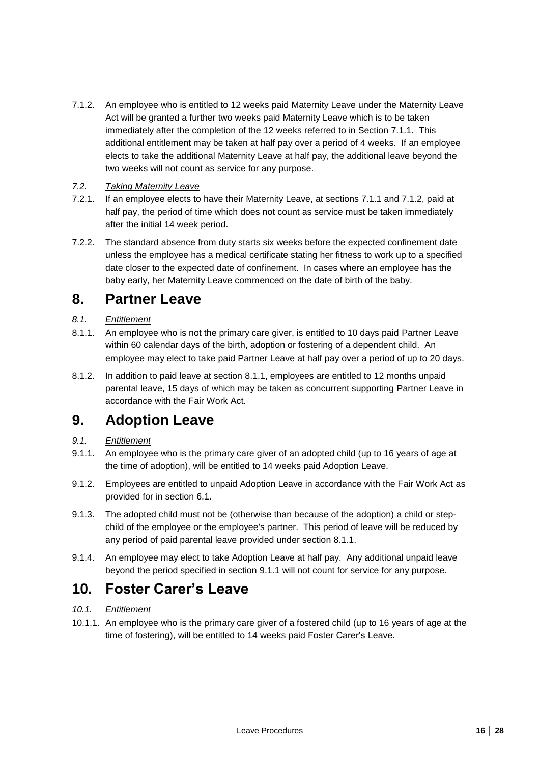<span id="page-15-3"></span>7.1.2. An employee who is entitled to 12 weeks paid Maternity Leave under the Maternity Leave Act will be granted a further two weeks paid Maternity Leave which is to be taken immediately after the completion of the 12 weeks referred to in Section [7.1.1.](#page-14-2) This additional entitlement may be taken at half pay over a period of 4 weeks. If an employee elects to take the additional Maternity Leave at half pay, the additional leave beyond the two weeks will not count as service for any purpose.

### *7.2. Taking Maternity Leave*

- 7.2.1. If an employee elects to have their Maternity Leave, at sections [7.1.1](#page-14-2) and [7.1.2,](#page-15-3) paid at half pay, the period of time which does not count as service must be taken immediately after the initial 14 week period.
- 7.2.2. The standard absence from duty starts six weeks before the expected confinement date unless the employee has a medical certificate stating her fitness to work up to a specified date closer to the expected date of confinement. In cases where an employee has the baby early, her Maternity Leave commenced on the date of birth of the baby.

## <span id="page-15-0"></span>**8. Partner Leave**

### *8.1. Entitlement*

- <span id="page-15-4"></span>8.1.1. An employee who is not the primary care giver, is entitled to 10 days paid Partner Leave within 60 calendar days of the birth, adoption or fostering of a dependent child. An employee may elect to take paid Partner Leave at half pay over a period of up to 20 days.
- 8.1.2. In addition to paid leave at section [8.1.1,](#page-15-4) employees are entitled to 12 months unpaid parental leave, 15 days of which may be taken as concurrent supporting Partner Leave in accordance with the Fair Work Act.

## <span id="page-15-1"></span>**9. Adoption Leave**

### *9.1. Entitlement*

- <span id="page-15-5"></span>9.1.1. An employee who is the primary care giver of an adopted child (up to 16 years of age at the time of adoption), will be entitled to 14 weeks paid Adoption Leave.
- 9.1.2. Employees are entitled to unpaid Adoption Leave in accordance with the Fair Work Act as provided for in section [6.1.](#page-13-1)
- 9.1.3. The adopted child must not be (otherwise than because of the adoption) a child or stepchild of the employee or the employee's partner. This period of leave will be reduced by any period of paid parental leave provided under section [8.1.1.](#page-15-4)
- 9.1.4. An employee may elect to take Adoption Leave at half pay. Any additional unpaid leave beyond the period specified in section [9.1.1](#page-15-5) will not count for service for any purpose.

# <span id="page-15-2"></span>**10. Foster Carer's Leave**

### *10.1. Entitlement*

<span id="page-15-6"></span>10.1.1. An employee who is the primary care giver of a fostered child (up to 16 years of age at the time of fostering), will be entitled to 14 weeks paid Foster Carer's Leave.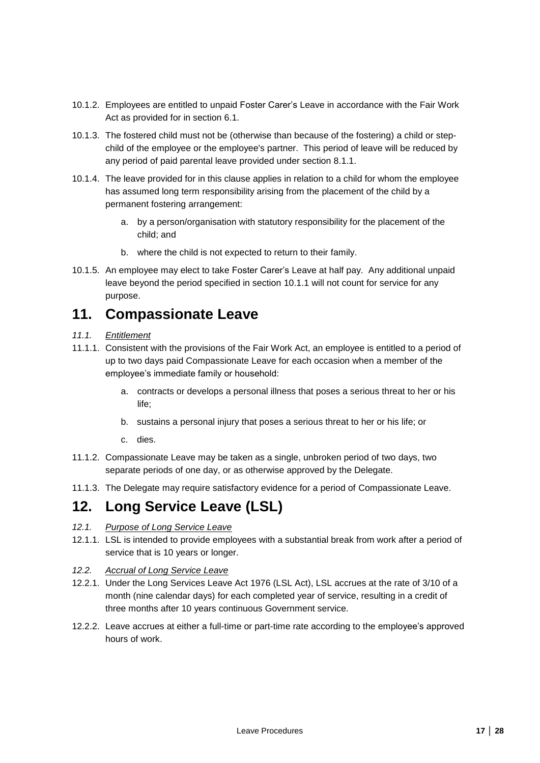- 10.1.2. Employees are entitled to unpaid Foster Carer's Leave in accordance with the Fair Work Act as provided for in section [6.1.](#page-13-1)
- 10.1.3. The fostered child must not be (otherwise than because of the fostering) a child or stepchild of the employee or the employee's partner. This period of leave will be reduced by any period of paid parental leave provided under section [8.1.1.](#page-15-4)
- 10.1.4. The leave provided for in this clause applies in relation to a child for whom the employee has assumed long term responsibility arising from the placement of the child by a permanent fostering arrangement:
	- a. by a person/organisation with statutory responsibility for the placement of the child; and
	- b. where the child is not expected to return to their family.
- 10.1.5. An employee may elect to take Foster Carer's Leave at half pay. Any additional unpaid leave beyond the period specified in section [10.1.1](#page-15-6) will not count for service for any purpose.

## <span id="page-16-0"></span>**11. Compassionate Leave**

- *11.1. Entitlement*
- 11.1.1. Consistent with the provisions of the Fair Work Act, an employee is entitled to a period of up to two days paid Compassionate Leave for each occasion when a member of the employee's immediate family or household:
	- a. contracts or develops a personal illness that poses a serious threat to her or his life;
	- b. sustains a personal injury that poses a serious threat to her or his life; or
	- c. dies.
- 11.1.2. Compassionate Leave may be taken as a single, unbroken period of two days, two separate periods of one day, or as otherwise approved by the Delegate.
- 11.1.3. The Delegate may require satisfactory evidence for a period of Compassionate Leave.

## <span id="page-16-1"></span>**12. Long Service Leave (LSL)**

- *12.1. Purpose of Long Service Leave*
- 12.1.1. LSL is intended to provide employees with a substantial break from work after a period of service that is 10 years or longer.
- *12.2. Accrual of Long Service Leave*
- 12.2.1. Under the Long Services Leave Act 1976 (LSL Act), LSL accrues at the rate of 3/10 of a month (nine calendar days) for each completed year of service, resulting in a credit of three months after 10 years continuous Government service.
- 12.2.2. Leave accrues at either a full-time or part-time rate according to the employee's approved hours of work.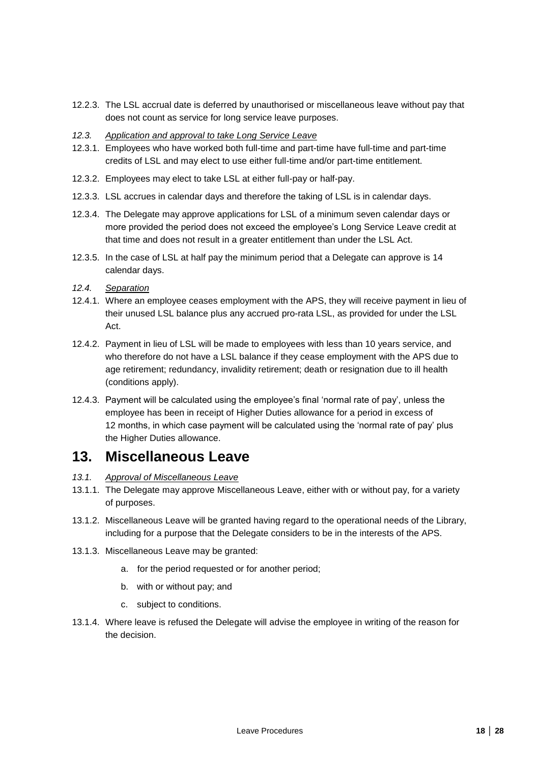- 12.2.3. The LSL accrual date is deferred by unauthorised or miscellaneous leave without pay that does not count as service for long service leave purposes.
- *12.3. Application and approval to take Long Service Leave*
- 12.3.1. Employees who have worked both full-time and part-time have full-time and part-time credits of LSL and may elect to use either full-time and/or part-time entitlement.
- 12.3.2. Employees may elect to take LSL at either full-pay or half-pay.
- 12.3.3. LSL accrues in calendar days and therefore the taking of LSL is in calendar days.
- 12.3.4. The Delegate may approve applications for LSL of a minimum seven calendar days or more provided the period does not exceed the employee's Long Service Leave credit at that time and does not result in a greater entitlement than under the LSL Act.
- 12.3.5. In the case of LSL at half pay the minimum period that a Delegate can approve is 14 calendar days.
- *12.4. Separation*
- 12.4.1. Where an employee ceases employment with the APS, they will receive payment in lieu of their unused LSL balance plus any accrued pro-rata LSL, as provided for under the LSL Act.
- 12.4.2. Payment in lieu of LSL will be made to employees with less than 10 years service, and who therefore do not have a LSL balance if they cease employment with the APS due to age retirement; redundancy, invalidity retirement; death or resignation due to ill health (conditions apply).
- 12.4.3. Payment will be calculated using the employee's final 'normal rate of pay', unless the employee has been in receipt of Higher Duties allowance for a period in excess of 12 months, in which case payment will be calculated using the 'normal rate of pay' plus the Higher Duties allowance.

## <span id="page-17-0"></span>**13. Miscellaneous Leave**

- *13.1. Approval of Miscellaneous Leave*
- 13.1.1. The Delegate may approve Miscellaneous Leave, either with or without pay, for a variety of purposes.
- 13.1.2. Miscellaneous Leave will be granted having regard to the operational needs of the Library, including for a purpose that the Delegate considers to be in the interests of the APS.
- 13.1.3. Miscellaneous Leave may be granted:
	- a. for the period requested or for another period;
	- b. with or without pay; and
	- c. subject to conditions.
- 13.1.4. Where leave is refused the Delegate will advise the employee in writing of the reason for the decision.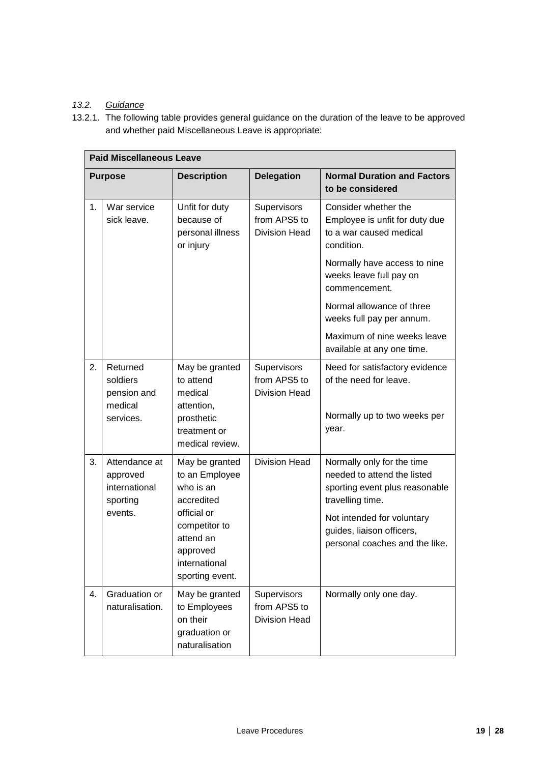## *13.2. Guidance*

13.2.1. The following table provides general guidance on the duration of the leave to be approved and whether paid Miscellaneous Leave is appropriate:

|    | <b>Paid Miscellaneous Leave</b>                        |                                                                                           |                                                            |                                                                                                                 |  |
|----|--------------------------------------------------------|-------------------------------------------------------------------------------------------|------------------------------------------------------------|-----------------------------------------------------------------------------------------------------------------|--|
|    | <b>Purpose</b>                                         | <b>Description</b>                                                                        | <b>Delegation</b>                                          | <b>Normal Duration and Factors</b><br>to be considered                                                          |  |
| 1. | War service<br>sick leave.                             | Unfit for duty<br>because of<br>personal illness<br>or injury                             | Supervisors<br>from APS5 to<br><b>Division Head</b>        | Consider whether the<br>Employee is unfit for duty due<br>to a war caused medical<br>condition.                 |  |
|    |                                                        |                                                                                           |                                                            | Normally have access to nine<br>weeks leave full pay on<br>commencement.                                        |  |
|    |                                                        |                                                                                           |                                                            | Normal allowance of three<br>weeks full pay per annum.                                                          |  |
|    |                                                        |                                                                                           |                                                            | Maximum of nine weeks leave<br>available at any one time.                                                       |  |
| 2. | Returned<br>soldiers<br>pension and<br>medical         | May be granted<br>to attend<br>medical<br>attention,                                      | <b>Supervisors</b><br>from APS5 to<br><b>Division Head</b> | Need for satisfactory evidence<br>of the need for leave.                                                        |  |
|    | services.                                              | prosthetic<br>treatment or<br>medical review.                                             |                                                            | Normally up to two weeks per<br>year.                                                                           |  |
| 3. | Attendance at<br>approved<br>international<br>sporting | May be granted<br>to an Employee<br>who is an<br>accredited                               | <b>Division Head</b>                                       | Normally only for the time<br>needed to attend the listed<br>sporting event plus reasonable<br>travelling time. |  |
|    | events.                                                | official or<br>competitor to<br>attend an<br>approved<br>international<br>sporting event. |                                                            | Not intended for voluntary<br>guides, liaison officers,<br>personal coaches and the like.                       |  |
| 4. | Graduation or<br>naturalisation.                       | May be granted<br>to Employees<br>on their<br>graduation or<br>naturalisation             | Supervisors<br>from APS5 to<br><b>Division Head</b>        | Normally only one day.                                                                                          |  |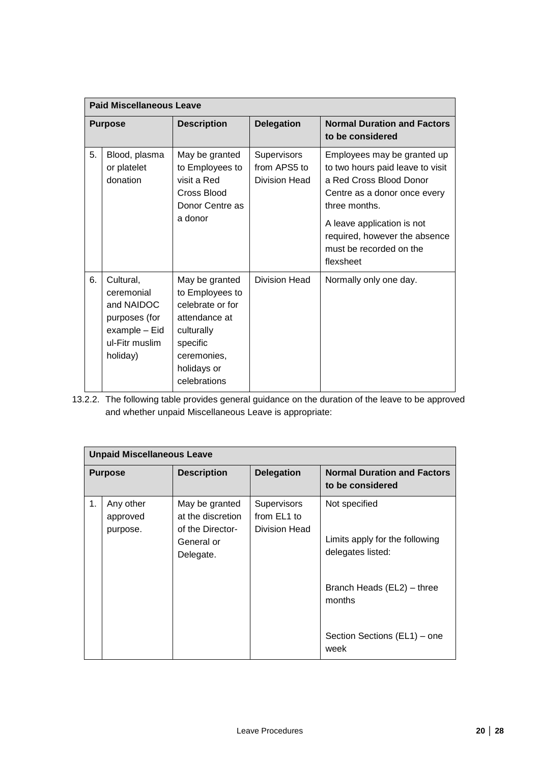| <b>Paid Miscellaneous Leave</b> |                                                                                                       |                                                                                                                                                |                                                     |                                                                                                                                                                                                                                                    |  |  |
|---------------------------------|-------------------------------------------------------------------------------------------------------|------------------------------------------------------------------------------------------------------------------------------------------------|-----------------------------------------------------|----------------------------------------------------------------------------------------------------------------------------------------------------------------------------------------------------------------------------------------------------|--|--|
| <b>Purpose</b>                  |                                                                                                       | <b>Description</b>                                                                                                                             | <b>Delegation</b>                                   | <b>Normal Duration and Factors</b><br>to be considered                                                                                                                                                                                             |  |  |
| 5.                              | Blood, plasma<br>or platelet<br>donation                                                              | May be granted<br>to Employees to<br>visit a Red<br>Cross Blood<br>Donor Centre as<br>a donor                                                  | <b>Supervisors</b><br>from APS5 to<br>Division Head | Employees may be granted up<br>to two hours paid leave to visit<br>a Red Cross Blood Donor<br>Centre as a donor once every<br>three months.<br>A leave application is not<br>required, however the absence<br>must be recorded on the<br>flexsheet |  |  |
| 6.                              | Cultural,<br>ceremonial<br>and NAIDOC<br>purposes (for<br>example - Eid<br>ul-Fitr muslim<br>holiday) | May be granted<br>to Employees to<br>celebrate or for<br>attendance at<br>culturally<br>specific<br>ceremonies,<br>holidays or<br>celebrations | Division Head                                       | Normally only one day.                                                                                                                                                                                                                             |  |  |

13.2.2. The following table provides general guidance on the duration of the leave to be approved and whether unpaid Miscellaneous Leave is appropriate:

| <b>Unpaid Miscellaneous Leave</b> |                                   |                                                         |                                             |                                                        |  |  |  |
|-----------------------------------|-----------------------------------|---------------------------------------------------------|---------------------------------------------|--------------------------------------------------------|--|--|--|
| <b>Purpose</b>                    |                                   | <b>Description</b>                                      | <b>Delegation</b>                           | <b>Normal Duration and Factors</b><br>to be considered |  |  |  |
| 1.                                | Any other<br>approved<br>purpose. | May be granted<br>at the discretion<br>of the Director- | Supervisors<br>from EL1 to<br>Division Head | Not specified                                          |  |  |  |
|                                   |                                   | General or<br>Delegate.                                 |                                             | Limits apply for the following<br>delegates listed:    |  |  |  |
|                                   |                                   |                                                         |                                             | Branch Heads (EL2) - three<br>months                   |  |  |  |
|                                   |                                   |                                                         |                                             | Section Sections (EL1) – one<br>week                   |  |  |  |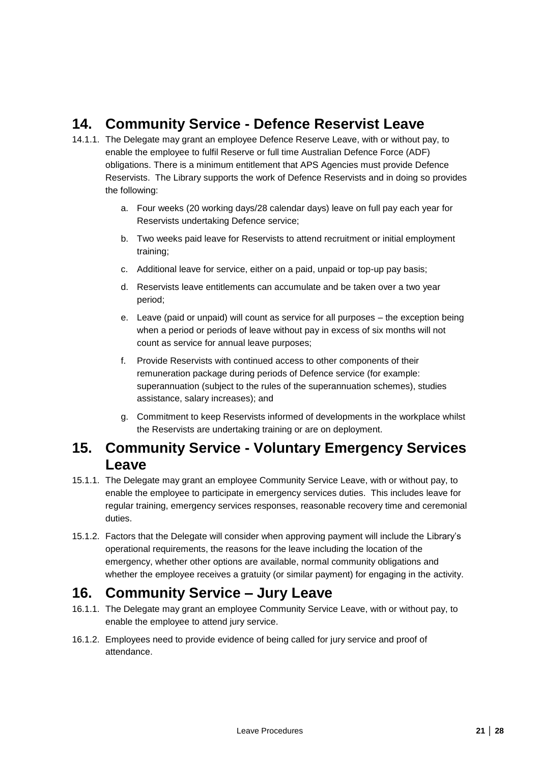# <span id="page-20-0"></span>**14. Community Service - Defence Reservist Leave**

- 14.1.1. The Delegate may grant an employee Defence Reserve Leave, with or without pay, to enable the employee to fulfil Reserve or full time Australian Defence Force (ADF) obligations. There is a minimum entitlement that APS Agencies must provide Defence Reservists. The Library supports the work of Defence Reservists and in doing so provides the following:
	- a. Four weeks (20 working days/28 calendar days) leave on full pay each year for Reservists undertaking Defence service;
	- b. Two weeks paid leave for Reservists to attend recruitment or initial employment training;
	- c. Additional leave for service, either on a paid, unpaid or top-up pay basis;
	- d. Reservists leave entitlements can accumulate and be taken over a two year period;
	- e. Leave (paid or unpaid) will count as service for all purposes the exception being when a period or periods of leave without pay in excess of six months will not count as service for annual leave purposes;
	- f. Provide Reservists with continued access to other components of their remuneration package during periods of Defence service (for example: superannuation (subject to the rules of the superannuation schemes), studies assistance, salary increases); and
	- g. Commitment to keep Reservists informed of developments in the workplace whilst the Reservists are undertaking training or are on deployment.

## <span id="page-20-1"></span>**15. Community Service - Voluntary Emergency Services Leave**

- 15.1.1. The Delegate may grant an employee Community Service Leave, with or without pay, to enable the employee to participate in emergency services duties. This includes leave for regular training, emergency services responses, reasonable recovery time and ceremonial duties.
- 15.1.2. Factors that the Delegate will consider when approving payment will include the Library's operational requirements, the reasons for the leave including the location of the emergency, whether other options are available, normal community obligations and whether the employee receives a gratuity (or similar payment) for engaging in the activity.

# <span id="page-20-2"></span>**16. Community Service – Jury Leave**

- 16.1.1. The Delegate may grant an employee Community Service Leave, with or without pay, to enable the employee to attend jury service.
- 16.1.2. Employees need to provide evidence of being called for jury service and proof of attendance.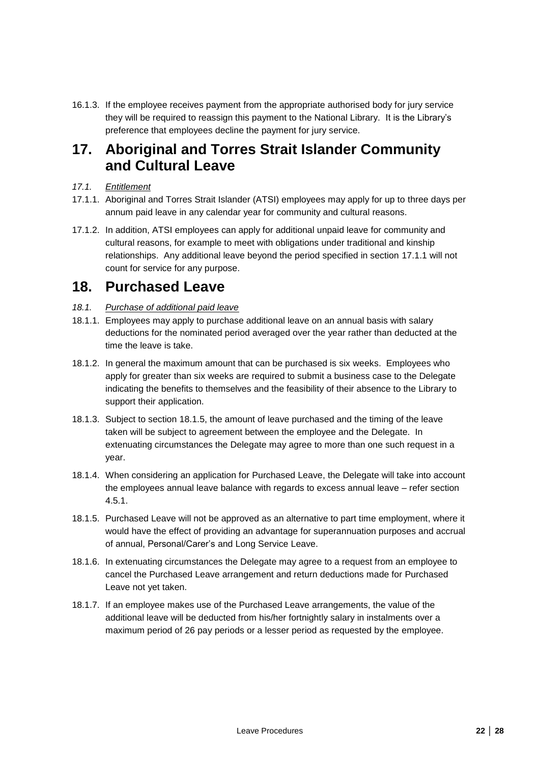16.1.3. If the employee receives payment from the appropriate authorised body for jury service they will be required to reassign this payment to the National Library. It is the Library's preference that employees decline the payment for jury service.

## <span id="page-21-0"></span>**17. Aboriginal and Torres Strait Islander Community and Cultural Leave**

- *17.1. Entitlement*
- <span id="page-21-2"></span>17.1.1. Aboriginal and Torres Strait Islander (ATSI) employees may apply for up to three days per annum paid leave in any calendar year for community and cultural reasons.
- 17.1.2. In addition, ATSI employees can apply for additional unpaid leave for community and cultural reasons, for example to meet with obligations under traditional and kinship relationships. Any additional leave beyond the period specified in section [17.1.1](#page-21-2) will not count for service for any purpose.

## <span id="page-21-1"></span>**18. Purchased Leave**

- *18.1. Purchase of additional paid leave*
- 18.1.1. Employees may apply to purchase additional leave on an annual basis with salary deductions for the nominated period averaged over the year rather than deducted at the time the leave is take.
- 18.1.2. In general the maximum amount that can be purchased is six weeks. Employees who apply for greater than six weeks are required to submit a business case to the Delegate indicating the benefits to themselves and the feasibility of their absence to the Library to support their application.
- 18.1.3. Subject to section [18.1.5,](#page-21-3) the amount of leave purchased and the timing of the leave taken will be subject to agreement between the employee and the Delegate. In extenuating circumstances the Delegate may agree to more than one such request in a year.
- 18.1.4. When considering an application for Purchased Leave, the Delegate will take into account the employees annual leave balance with regards to excess annual leave – refer section [4.5.1.](#page-7-2)
- <span id="page-21-3"></span>18.1.5. Purchased Leave will not be approved as an alternative to part time employment, where it would have the effect of providing an advantage for superannuation purposes and accrual of annual, Personal/Carer's and Long Service Leave.
- 18.1.6. In extenuating circumstances the Delegate may agree to a request from an employee to cancel the Purchased Leave arrangement and return deductions made for Purchased Leave not yet taken.
- 18.1.7. If an employee makes use of the Purchased Leave arrangements, the value of the additional leave will be deducted from his/her fortnightly salary in instalments over a maximum period of 26 pay periods or a lesser period as requested by the employee.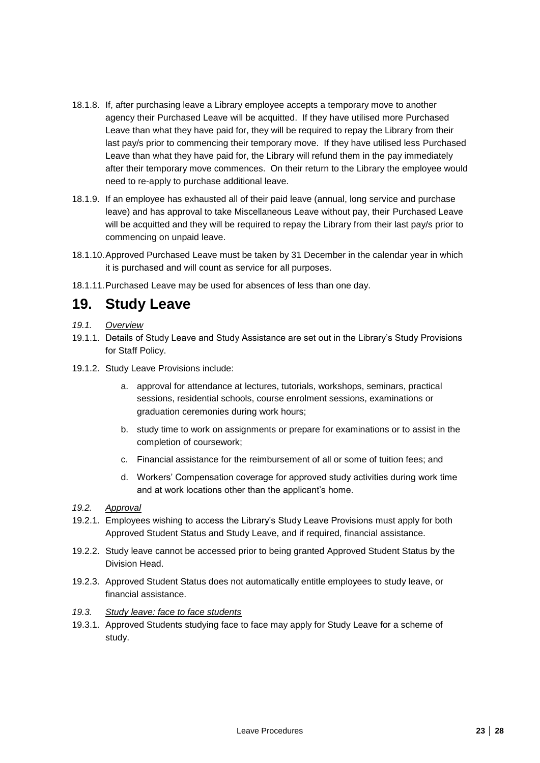- 18.1.8. If, after purchasing leave a Library employee accepts a temporary move to another agency their Purchased Leave will be acquitted. If they have utilised more Purchased Leave than what they have paid for, they will be required to repay the Library from their last pay/s prior to commencing their temporary move. If they have utilised less Purchased Leave than what they have paid for, the Library will refund them in the pay immediately after their temporary move commences. On their return to the Library the employee would need to re-apply to purchase additional leave.
- 18.1.9. If an employee has exhausted all of their paid leave (annual, long service and purchase leave) and has approval to take Miscellaneous Leave without pay, their Purchased Leave will be acquitted and they will be required to repay the Library from their last pay/s prior to commencing on unpaid leave.
- 18.1.10.Approved Purchased Leave must be taken by 31 December in the calendar year in which it is purchased and will count as service for all purposes.
- 18.1.11.Purchased Leave may be used for absences of less than one day.

## <span id="page-22-0"></span>**19. Study Leave**

- *19.1. Overview*
- 19.1.1. Details of Study Leave and Study Assistance are set out in the Library's Study Provisions for Staff Policy.
- 19.1.2. Study Leave Provisions include:
	- a. approval for attendance at lectures, tutorials, workshops, seminars, practical sessions, residential schools, course enrolment sessions, examinations or graduation ceremonies during work hours;
	- b. study time to work on assignments or prepare for examinations or to assist in the completion of coursework;
	- c. Financial assistance for the reimbursement of all or some of tuition fees; and
	- d. Workers' Compensation coverage for approved study activities during work time and at work locations other than the applicant's home.
- *19.2. Approval*
- 19.2.1. Employees wishing to access the Library's Study Leave Provisions must apply for both Approved Student Status and Study Leave, and if required, financial assistance.
- 19.2.2. Study leave cannot be accessed prior to being granted Approved Student Status by the Division Head.
- 19.2.3. Approved Student Status does not automatically entitle employees to study leave, or financial assistance.
- *19.3. Study leave: face to face students*
- 19.3.1. Approved Students studying face to face may apply for Study Leave for a scheme of study.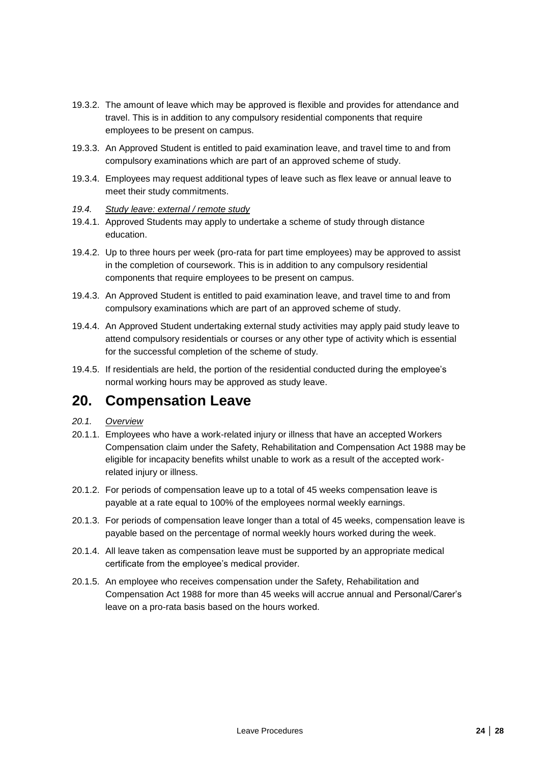- 19.3.2. The amount of leave which may be approved is flexible and provides for attendance and travel. This is in addition to any compulsory residential components that require employees to be present on campus.
- 19.3.3. An Approved Student is entitled to paid examination leave, and travel time to and from compulsory examinations which are part of an approved scheme of study.
- 19.3.4. Employees may request additional types of leave such as flex leave or annual leave to meet their study commitments.
- *19.4. Study leave: external / remote study*
- 19.4.1. Approved Students may apply to undertake a scheme of study through distance education.
- 19.4.2. Up to three hours per week (pro-rata for part time employees) may be approved to assist in the completion of coursework. This is in addition to any compulsory residential components that require employees to be present on campus.
- 19.4.3. An Approved Student is entitled to paid examination leave, and travel time to and from compulsory examinations which are part of an approved scheme of study.
- 19.4.4. An Approved Student undertaking external study activities may apply paid study leave to attend compulsory residentials or courses or any other type of activity which is essential for the successful completion of the scheme of study.
- 19.4.5. If residentials are held, the portion of the residential conducted during the employee's normal working hours may be approved as study leave.

# <span id="page-23-0"></span>**20. Compensation Leave**

### *20.1. Overview*

- 20.1.1. Employees who have a work-related injury or illness that have an accepted Workers Compensation claim under the Safety, Rehabilitation and Compensation Act 1988 may be eligible for incapacity benefits whilst unable to work as a result of the accepted workrelated injury or illness.
- 20.1.2. For periods of compensation leave up to a total of 45 weeks compensation leave is payable at a rate equal to 100% of the employees normal weekly earnings.
- 20.1.3. For periods of compensation leave longer than a total of 45 weeks, compensation leave is payable based on the percentage of normal weekly hours worked during the week.
- 20.1.4. All leave taken as compensation leave must be supported by an appropriate medical certificate from the employee's medical provider.
- 20.1.5. An employee who receives compensation under the Safety, Rehabilitation and Compensation Act 1988 for more than 45 weeks will accrue annual and Personal/Carer's leave on a pro-rata basis based on the hours worked.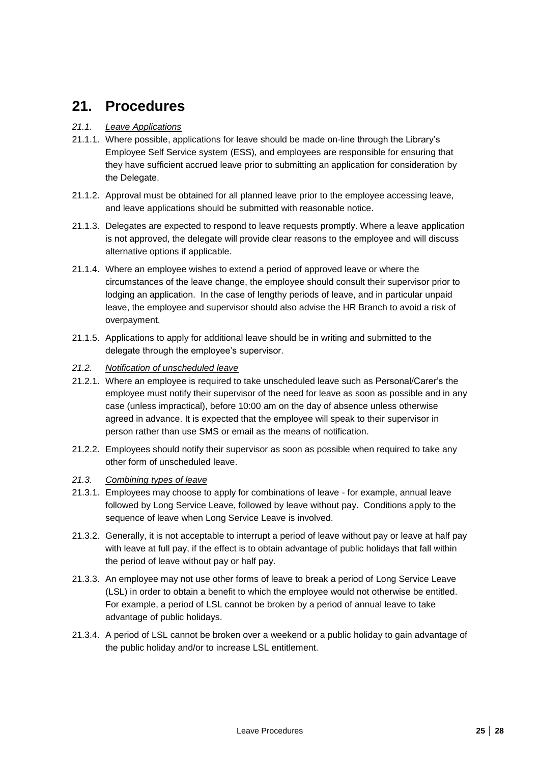# <span id="page-24-0"></span>**21. Procedures**

### *21.1. Leave Applications*

- 21.1.1. Where possible, applications for leave should be made on-line through the Library's Employee Self Service system (ESS), and employees are responsible for ensuring that they have sufficient accrued leave prior to submitting an application for consideration by the Delegate.
- 21.1.2. Approval must be obtained for all planned leave prior to the employee accessing leave, and leave applications should be submitted with reasonable notice.
- 21.1.3. Delegates are expected to respond to leave requests promptly. Where a leave application is not approved, the delegate will provide clear reasons to the employee and will discuss alternative options if applicable.
- 21.1.4. Where an employee wishes to extend a period of approved leave or where the circumstances of the leave change, the employee should consult their supervisor prior to lodging an application. In the case of lengthy periods of leave, and in particular unpaid leave, the employee and supervisor should also advise the HR Branch to avoid a risk of overpayment.
- 21.1.5. Applications to apply for additional leave should be in writing and submitted to the delegate through the employee's supervisor.
- *21.2. Notification of unscheduled leave*
- 21.2.1. Where an employee is required to take unscheduled leave such as Personal/Carer's the employee must notify their supervisor of the need for leave as soon as possible and in any case (unless impractical), before 10:00 am on the day of absence unless otherwise agreed in advance. It is expected that the employee will speak to their supervisor in person rather than use SMS or email as the means of notification.
- 21.2.2. Employees should notify their supervisor as soon as possible when required to take any other form of unscheduled leave.
- *21.3. Combining types of leave*
- 21.3.1. Employees may choose to apply for combinations of leave for example, annual leave followed by Long Service Leave, followed by leave without pay. Conditions apply to the sequence of leave when Long Service Leave is involved.
- 21.3.2. Generally, it is not acceptable to interrupt a period of leave without pay or leave at half pay with leave at full pay, if the effect is to obtain advantage of public holidays that fall within the period of leave without pay or half pay.
- 21.3.3. An employee may not use other forms of leave to break a period of Long Service Leave (LSL) in order to obtain a benefit to which the employee would not otherwise be entitled. For example, a period of LSL cannot be broken by a period of annual leave to take advantage of public holidays.
- 21.3.4. A period of LSL cannot be broken over a weekend or a public holiday to gain advantage of the public holiday and/or to increase LSL entitlement.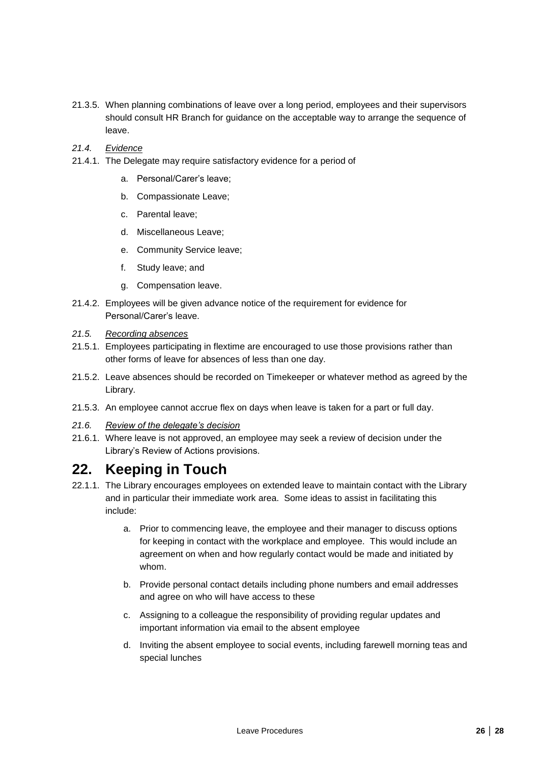- 21.3.5. When planning combinations of leave over a long period, employees and their supervisors should consult HR Branch for guidance on the acceptable way to arrange the sequence of leave.
- *21.4. Evidence*
- 21.4.1. The Delegate may require satisfactory evidence for a period of
	- a. Personal/Carer's leave;
	- b. Compassionate Leave;
	- c. Parental leave;
	- d. Miscellaneous Leave;
	- e. Community Service leave;
	- f. Study leave; and
	- g. Compensation leave.
- 21.4.2. Employees will be given advance notice of the requirement for evidence for Personal/Carer's leave.
- *21.5. Recording absences*
- 21.5.1. Employees participating in flextime are encouraged to use those provisions rather than other forms of leave for absences of less than one day.
- 21.5.2. Leave absences should be recorded on Timekeeper or whatever method as agreed by the Library.
- 21.5.3. An employee cannot accrue flex on days when leave is taken for a part or full day.
- *21.6. Review of the delegate's decision*
- 21.6.1. Where leave is not approved, an employee may seek a review of decision under the Library's Review of Actions provisions.

# <span id="page-25-0"></span>**22. Keeping in Touch**

- 22.1.1. The Library encourages employees on extended leave to maintain contact with the Library and in particular their immediate work area. Some ideas to assist in facilitating this include:
	- a. Prior to commencing leave, the employee and their manager to discuss options for keeping in contact with the workplace and employee. This would include an agreement on when and how regularly contact would be made and initiated by whom.
	- b. Provide personal contact details including phone numbers and email addresses and agree on who will have access to these
	- c. Assigning to a colleague the responsibility of providing regular updates and important information via email to the absent employee
	- d. Inviting the absent employee to social events, including farewell morning teas and special lunches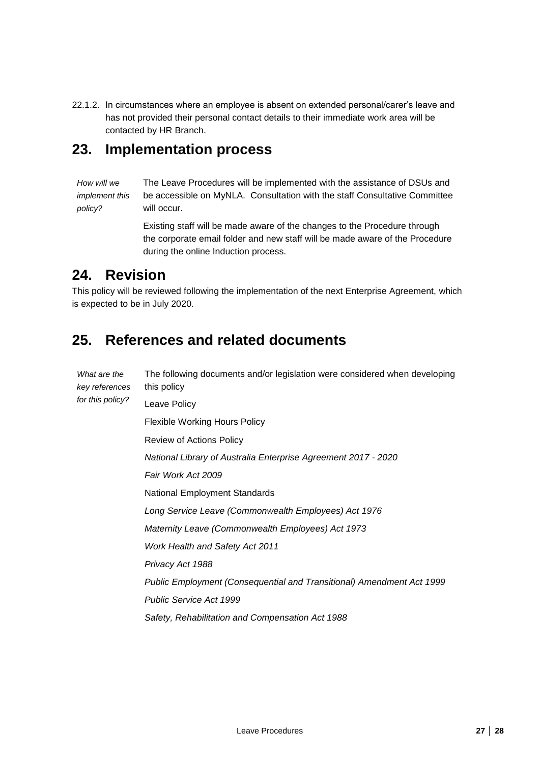22.1.2. In circumstances where an employee is absent on extended personal/carer's leave and has not provided their personal contact details to their immediate work area will be contacted by HR Branch.

## <span id="page-26-0"></span>**23. Implementation process**

*How will we implement this policy?* The Leave Procedures will be implemented with the assistance of DSUs and be accessible on MyNLA. Consultation with the staff Consultative Committee will occur.

> Existing staff will be made aware of the changes to the Procedure through the corporate email folder and new staff will be made aware of the Procedure during the online Induction process.

# <span id="page-26-1"></span>**24. Revision**

This policy will be reviewed following the implementation of the next Enterprise Agreement, which is expected to be in July 2020.

# <span id="page-26-2"></span>**25. References and related documents**

| What are the<br>key references | The following documents and/or legislation were considered when developing<br>this policy |  |  |  |
|--------------------------------|-------------------------------------------------------------------------------------------|--|--|--|
| for this policy?               | Leave Policy                                                                              |  |  |  |
|                                | Flexible Working Hours Policy                                                             |  |  |  |
|                                | Review of Actions Policy                                                                  |  |  |  |
|                                | National Library of Australia Enterprise Agreement 2017 - 2020                            |  |  |  |
|                                | Fair Work Act 2009                                                                        |  |  |  |
|                                | <b>National Employment Standards</b>                                                      |  |  |  |
|                                | Long Service Leave (Commonwealth Employees) Act 1976                                      |  |  |  |
|                                | Maternity Leave (Commonwealth Employees) Act 1973                                         |  |  |  |
|                                | <b>Work Health and Safety Act 2011</b>                                                    |  |  |  |
|                                | Privacy Act 1988                                                                          |  |  |  |
|                                | Public Employment (Consequential and Transitional) Amendment Act 1999                     |  |  |  |
|                                | <b>Public Service Act 1999</b>                                                            |  |  |  |
|                                | Safety, Rehabilitation and Compensation Act 1988                                          |  |  |  |